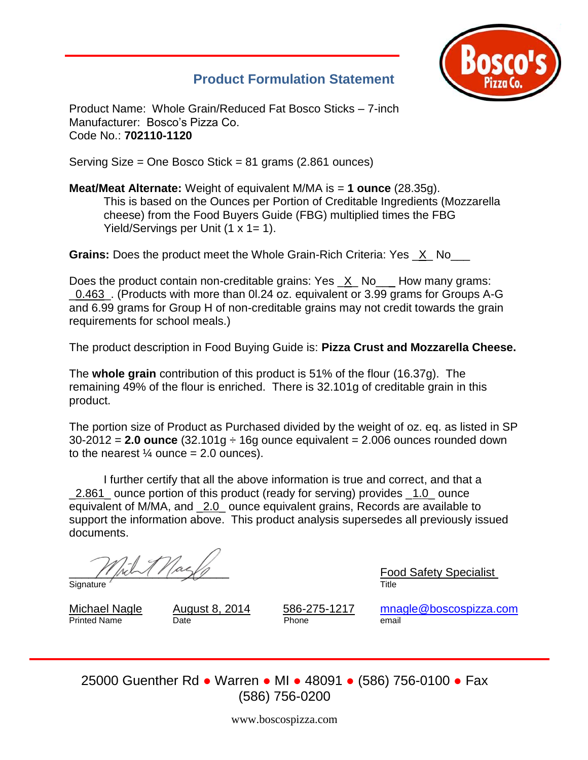

## **Product Formulation Statement**

Product Name: Whole Grain/Reduced Fat Bosco Sticks – 7-inch Manufacturer: Bosco's Pizza Co. Code No.: **702110-1120**

Serving Size = One Bosco Stick = 81 grams (2.861 ounces)

**Meat/Meat Alternate:** Weight of equivalent M/MA is = **1 ounce** (28.35g). This is based on the Ounces per Portion of Creditable Ingredients (Mozzarella cheese) from the Food Buyers Guide (FBG) multiplied times the FBG Yield/Servings per Unit  $(1 \times 1 = 1)$ .

**Grains:** Does the product meet the Whole Grain-Rich Criteria: Yes X No

Does the product contain non-creditable grains: Yes \_X\_ No\_\_\_ How many grams: \_0.463\_. (Products with more than 0l.24 oz. equivalent or 3.99 grams for Groups A-G and 6.99 grams for Group H of non-creditable grains may not credit towards the grain requirements for school meals.)

The product description in Food Buying Guide is: **Pizza Crust and Mozzarella Cheese.**

The **whole grain** contribution of this product is 51% of the flour (16.37g). The remaining 49% of the flour is enriched. There is 32.101g of creditable grain in this product.

The portion size of Product as Purchased divided by the weight of oz. eq. as listed in SP 30-2012 = **2.0 ounce** (32.101g ÷ 16g ounce equivalent = 2.006 ounces rounded down to the nearest  $\frac{1}{4}$  ounce = 2.0 ounces).

I further certify that all the above information is true and correct, and that a 1.2.861 ounce portion of this product (ready for serving) provides 1.0 ounce equivalent of M/MA, and \_2.0\_ ounce equivalent grains, Records are available to support the information above. This product analysis supersedes all previously issued documents.

 $\frac{F_{\text{cool}}}{F_{\text{title}}}$  Food Safety Specialist

Signature

Printed Name **Date Date Phone email** 

Michael Nagle August 8, 2014 586-275-1217 [mnagle@boscospizza.com](mailto:mnagle@boscospizza.com)

25000 Guenther Rd ● Warren ● MI ● 48091 ● (586) 756-0100 ● Fax (586) 756-0200

www.boscospizza.com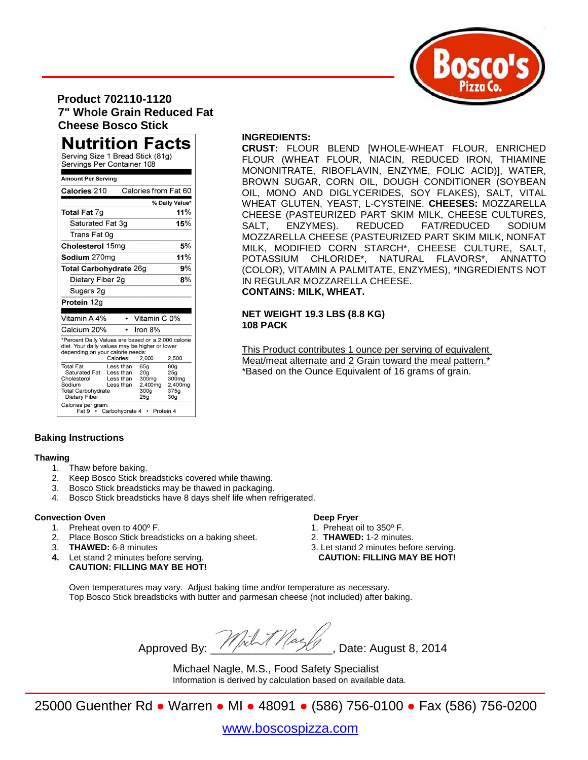

### **Product 702110-1120 7" Whole Grain Reduced Fat Cheese Bosco Stick**

| <b>Nutrition Facts</b><br>Serving Size 1 Bread Stick (81g)<br>Servings Per Container 108                                                                                |                                                  |                                                                                    |                                                                       |  |  |  |
|-------------------------------------------------------------------------------------------------------------------------------------------------------------------------|--------------------------------------------------|------------------------------------------------------------------------------------|-----------------------------------------------------------------------|--|--|--|
| <b>Amount Per Serving</b>                                                                                                                                               |                                                  |                                                                                    |                                                                       |  |  |  |
| Calories 210                                                                                                                                                            |                                                  | Calories from Fat 60                                                               |                                                                       |  |  |  |
|                                                                                                                                                                         |                                                  |                                                                                    | % Daily Value*                                                        |  |  |  |
| <b>Total Fat 7g</b>                                                                                                                                                     |                                                  |                                                                                    | 11%                                                                   |  |  |  |
| Saturated Fat 3g                                                                                                                                                        |                                                  |                                                                                    | 15%                                                                   |  |  |  |
| Trans Fat 0q                                                                                                                                                            |                                                  |                                                                                    |                                                                       |  |  |  |
| Cholesterol 15mg                                                                                                                                                        | 5%                                               |                                                                                    |                                                                       |  |  |  |
| 11%<br>Sodium 270mg                                                                                                                                                     |                                                  |                                                                                    |                                                                       |  |  |  |
| 9%<br><b>Total Carbohydrate 26g</b>                                                                                                                                     |                                                  |                                                                                    |                                                                       |  |  |  |
| Dietary Fiber 2g                                                                                                                                                        |                                                  |                                                                                    | 8%                                                                    |  |  |  |
| Sugars 2g                                                                                                                                                               |                                                  |                                                                                    |                                                                       |  |  |  |
| Protein 12g                                                                                                                                                             |                                                  |                                                                                    |                                                                       |  |  |  |
|                                                                                                                                                                         |                                                  |                                                                                    |                                                                       |  |  |  |
| Vitamin A 4%                                                                                                                                                            |                                                  | Vitamin C 0%                                                                       |                                                                       |  |  |  |
| Calcium 20%                                                                                                                                                             |                                                  | Iron 8%                                                                            |                                                                       |  |  |  |
| *Percent Daily Values are based on a 2,000 calorie<br>diet. Your daily values may be higher or lower<br>depending on your calorie needs:<br>Calories:<br>2,500<br>2,000 |                                                  |                                                                                    |                                                                       |  |  |  |
| <b>Total Fat</b><br>Saturated Fat<br>Cholesterol<br>Sodium<br><b>Total Carbohydrate</b><br>Dietary Fiber<br>Calories per gram:<br>Fat 9 • Carbohydrate 4                | Less than<br>Less than<br>Less than<br>Less than | 65g<br>20 <sub>g</sub><br>300mg<br>2,400mg<br>300g<br>25 <sub>q</sub><br>Protein 4 | 80g<br>25g<br>300 <sub>mg</sub><br>2,400mg<br>375g<br>30 <sub>q</sub> |  |  |  |

#### **INGREDIENTS:**

**CRUST:** FLOUR BLEND [WHOLE-WHEAT FLOUR, ENRICHED FLOUR (WHEAT FLOUR, NIACIN, REDUCED IRON, THIAMINE MONONITRATE, RIBOFLAVIN, ENZYME, FOLIC ACID)], WATER, BROWN SUGAR, CORN OIL, DOUGH CONDITIONER (SOYBEAN OIL, MONO AND DIGLYCERIDES, SOY FLAKES), SALT, VITAL WHEAT GLUTEN, YEAST, L-CYSTEINE. **CHEESES:** MOZZARELLA CHEESE (PASTEURIZED PART SKIM MILK, CHEESE CULTURES, SALT, ENZYMES). REDUCED FAT/REDUCED SODIUM MOZZARELLA CHEESE (PASTEURIZED PART SKIM MILK, NONFAT MILK, MODIFIED CORN STARCH\*, CHEESE CULTURE, SALT, POTASSIUM CHLORIDE\*, NATURAL FLAVORS\*, ANNATTO (COLOR), VITAMIN A PALMITATE, ENZYMES), \*INGREDIENTS NOT IN REGULAR MOZZARELLA CHEESE. **CONTAINS: MILK, WHEAT.**

#### **NET WEIGHT 19.3 LBS (8.8 KG) 108 PACK**

This Product contributes 1 ounce per serving of equivalent Meat/meat alternate and 2 Grain toward the meal pattern.\* \*Based on the Ounce Equivalent of 16 grams of grain.

#### **Baking Instructions**

#### **Thawing**

- 1. Thaw before baking.
- 2. Keep Bosco Stick breadsticks covered while thawing.
- 3. Bosco Stick breadsticks may be thawed in packaging.
- 4. Bosco Stick breadsticks have 8 days shelf life when refrigerated.

#### **Convection Oven Deep Fryer**

- 
- 1. Preheat oven to 400° F.<br>
2. Place Bosco Stick breadsticks on a baking sheet. 2. **THAWED:** 1-2 minutes. Place Bosco Stick breadsticks on a baking sheet.
- 
- **CAUTION: FILLING MAY BE HOT!**

- 
- 
- 3. **THAWED:** 6-8 minutes 3. Let stand 2 minutes before serving. **4.** Let stand 2 minutes before serving. **CAUTION: FILLING MAY BE HOT!**

Oven temperatures may vary. Adjust baking time and/or temperature as necessary. Top Bosco Stick breadsticks with butter and parmesan cheese (not included) after baking.

Approved By:  $\frac{1}{2}$   $\frac{1}{2}$   $\frac{1}{2}$  Date: August 8, 2014

Michael Nagle, M.S., Food Safety Specialist Information is derived by calculation based on available data.

25000 Guenther Rd ● Warren ● MI ● 48091 ● (586) 756-0100 ● Fax (586) 756-0200

[www.boscospizza.com](http://www.boscospizza.com/)